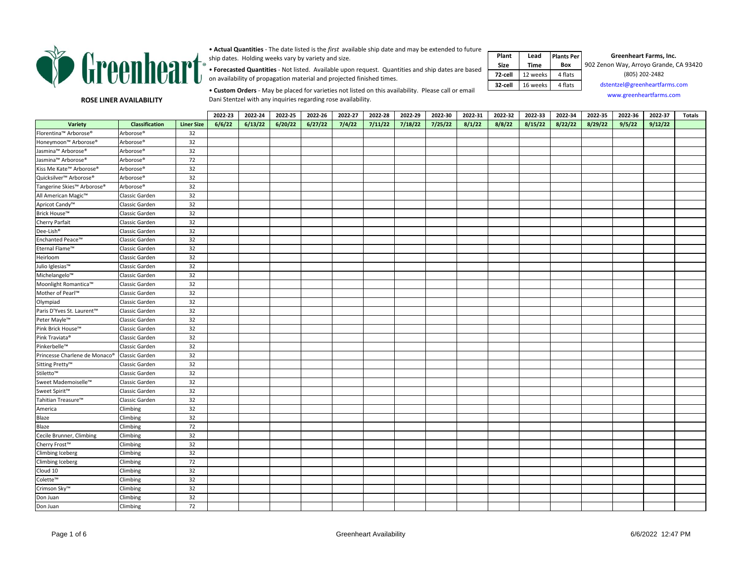

• **Actual Quantities** - The date listed is the *first* available ship date and may be extended to future ship dates. Holding weeks vary by variety and size.

• **Forecasted Quantities** - Not listed. Available upon request. Quantities and ship dates are based on availability of propagation material and projected finished times.

| Plant       | Lead     | <b>Plants Per</b> | Greenheart Farms, Inc.                 |
|-------------|----------|-------------------|----------------------------------------|
| <b>Size</b> | Time     | Box               | 902 Zenon Way, Arroyo Grande, CA 93420 |
| 72-cell     | 12 weeks | 4 flats           | (805) 202-2482                         |
| 32-cell     | 16 weeks | 4 flats           | dstentzel@greenheartfarms.com          |
|             |          |                   | www.greenheartfarms.com                |

**ROSE LINER AVAILABILITY**

• **Custom Orders** - May be placed for varieties not listed on this availability. Please call or email Dani Stentzel with any inquiries regarding rose availability.

|                               |                       |                   | 2022-23 | 2022-24 | 2022-25 | 2022-26 | 2022-27 | 2022-28 | 2022-29 | 2022-30 | 2022-31 | 2022-32 | 2022-33 | 2022-34 | 2022-35 | 2022-36 | 2022-37 | <b>Totals</b> |
|-------------------------------|-----------------------|-------------------|---------|---------|---------|---------|---------|---------|---------|---------|---------|---------|---------|---------|---------|---------|---------|---------------|
| Variety                       | Classification        | <b>Liner Size</b> | 6/6/22  | 6/13/22 | 6/20/22 | 6/27/22 | 7/4/22  | 7/11/22 | 7/18/22 | 7/25/22 | 8/1/22  | 8/8/22  | 8/15/22 | 8/22/22 | 8/29/22 | 9/5/22  | 9/12/22 |               |
| Florentina™ Arborose®         | Arborose®             | 32                |         |         |         |         |         |         |         |         |         |         |         |         |         |         |         |               |
| Honeymoon™ Arborose®          | Arborose®             | 32                |         |         |         |         |         |         |         |         |         |         |         |         |         |         |         |               |
| Jasmina™ Arborose®            | Arborose®             | 32                |         |         |         |         |         |         |         |         |         |         |         |         |         |         |         |               |
| Jasmina™ Arborose®            | Arborose®             | 72                |         |         |         |         |         |         |         |         |         |         |         |         |         |         |         |               |
| Kiss Me Kate™ Arborose®       | Arborose <sup>®</sup> | 32                |         |         |         |         |         |         |         |         |         |         |         |         |         |         |         |               |
| Quicksilver™ Arborose®        | Arborose®             | 32                |         |         |         |         |         |         |         |         |         |         |         |         |         |         |         |               |
| Tangerine Skies™ Arborose®    | Arborose®             | 32                |         |         |         |         |         |         |         |         |         |         |         |         |         |         |         |               |
| All American Magic™           | Classic Garden        | 32                |         |         |         |         |         |         |         |         |         |         |         |         |         |         |         |               |
| Apricot Candy <sup>™</sup>    | Classic Garden        | 32                |         |         |         |         |         |         |         |         |         |         |         |         |         |         |         |               |
| Brick House™                  | Classic Garden        | 32                |         |         |         |         |         |         |         |         |         |         |         |         |         |         |         |               |
| Cherry Parfait                | Classic Garden        | 32                |         |         |         |         |         |         |         |         |         |         |         |         |         |         |         |               |
| Dee-Lish®                     | Classic Garden        | 32                |         |         |         |         |         |         |         |         |         |         |         |         |         |         |         |               |
| Enchanted Peace™              | Classic Garden        | 32                |         |         |         |         |         |         |         |         |         |         |         |         |         |         |         |               |
| Eternal Flame™                | Classic Garden        | 32                |         |         |         |         |         |         |         |         |         |         |         |         |         |         |         |               |
| Heirloom                      | Classic Garden        | 32                |         |         |         |         |         |         |         |         |         |         |         |         |         |         |         |               |
| Julio Iglesias™               | Classic Garden        | 32                |         |         |         |         |         |         |         |         |         |         |         |         |         |         |         |               |
| Michelangelo™                 | Classic Garden        | 32                |         |         |         |         |         |         |         |         |         |         |         |         |         |         |         |               |
| Moonlight Romantica™          | Classic Garden        | 32                |         |         |         |         |         |         |         |         |         |         |         |         |         |         |         |               |
| Mother of Pearl™              | Classic Garden        | 32                |         |         |         |         |         |         |         |         |         |         |         |         |         |         |         |               |
| Olympiad                      | Classic Garden        | 32                |         |         |         |         |         |         |         |         |         |         |         |         |         |         |         |               |
| Paris D'Yves St. Laurent™     | Classic Garden        | 32                |         |         |         |         |         |         |         |         |         |         |         |         |         |         |         |               |
| Peter Mayle™                  | Classic Garden        | 32                |         |         |         |         |         |         |         |         |         |         |         |         |         |         |         |               |
| Pink Brick House™             | Classic Garden        | 32                |         |         |         |         |         |         |         |         |         |         |         |         |         |         |         |               |
| Pink Traviata®                | Classic Garden        | 32                |         |         |         |         |         |         |         |         |         |         |         |         |         |         |         |               |
| Pinkerbelle™                  | Classic Garden        | 32                |         |         |         |         |         |         |         |         |         |         |         |         |         |         |         |               |
| Princesse Charlene de Monaco® | Classic Garden        | 32                |         |         |         |         |         |         |         |         |         |         |         |         |         |         |         |               |
| Sitting Pretty™               | Classic Garden        | 32                |         |         |         |         |         |         |         |         |         |         |         |         |         |         |         |               |
| Stiletto™                     | Classic Garden        | 32                |         |         |         |         |         |         |         |         |         |         |         |         |         |         |         |               |
| Sweet Mademoiselle™           | Classic Garden        | 32                |         |         |         |         |         |         |         |         |         |         |         |         |         |         |         |               |
| Sweet Spirit™                 | Classic Garden        | 32                |         |         |         |         |         |         |         |         |         |         |         |         |         |         |         |               |
| Tahitian Treasure™            | Classic Garden        | 32                |         |         |         |         |         |         |         |         |         |         |         |         |         |         |         |               |
| America                       | Climbing              | 32                |         |         |         |         |         |         |         |         |         |         |         |         |         |         |         |               |
| Blaze                         | Climbing              | 32                |         |         |         |         |         |         |         |         |         |         |         |         |         |         |         |               |
| Blaze                         | Climbing              | 72                |         |         |         |         |         |         |         |         |         |         |         |         |         |         |         |               |
| Cecile Brunner, Climbing      | Climbing              | 32                |         |         |         |         |         |         |         |         |         |         |         |         |         |         |         |               |
| Cherry Frost™                 | Climbing              | 32                |         |         |         |         |         |         |         |         |         |         |         |         |         |         |         |               |
| <b>Climbing Iceberg</b>       | Climbing              | 32                |         |         |         |         |         |         |         |         |         |         |         |         |         |         |         |               |
| Climbing Iceberg              | Climbing              | 72                |         |         |         |         |         |         |         |         |         |         |         |         |         |         |         |               |
| Cloud 10                      | Climbing              | 32                |         |         |         |         |         |         |         |         |         |         |         |         |         |         |         |               |
| Colette™                      | Climbing              | 32                |         |         |         |         |         |         |         |         |         |         |         |         |         |         |         |               |
| Crimson Sky™                  | Climbing              | 32                |         |         |         |         |         |         |         |         |         |         |         |         |         |         |         |               |
| Don Juan                      | Climbing              | 32                |         |         |         |         |         |         |         |         |         |         |         |         |         |         |         |               |
| Don Juan                      | Climbing              | 72                |         |         |         |         |         |         |         |         |         |         |         |         |         |         |         |               |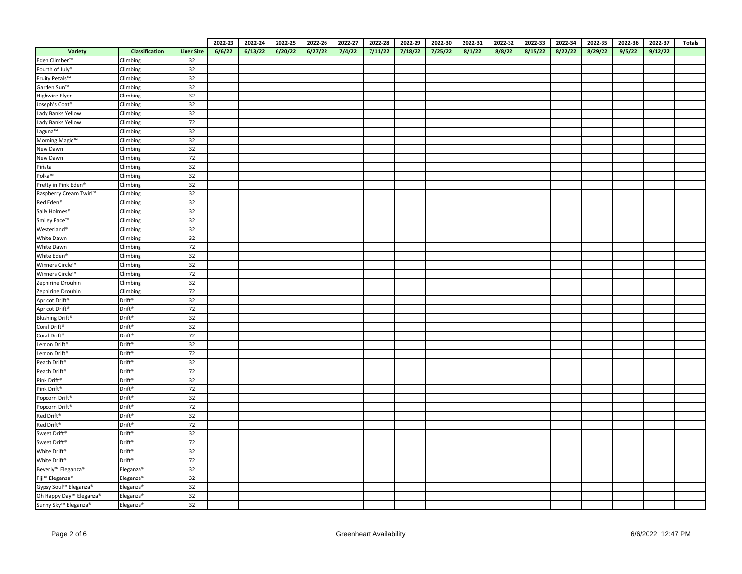|                                     |                       |                   | 2022-23 | 2022-24 | 2022-25 | 2022-26 | 2022-27 | 2022-28 | 2022-29 | 2022-30 | 2022-31 | 2022-32 | 2022-33 | 2022-34 | 2022-35 | 2022-36 | 2022-37 | <b>Totals</b> |
|-------------------------------------|-----------------------|-------------------|---------|---------|---------|---------|---------|---------|---------|---------|---------|---------|---------|---------|---------|---------|---------|---------------|
| Variety                             | <b>Classification</b> | <b>Liner Size</b> | 6/6/22  | 6/13/22 | 6/20/22 | 6/27/22 | 7/4/22  | 7/11/22 | 7/18/22 | 7/25/22 | 8/1/22  | 8/8/22  | 8/15/22 | 8/22/22 | 8/29/22 | 9/5/22  | 9/12/22 |               |
| Eden Climber <sup>™</sup>           | Climbing              | 32                |         |         |         |         |         |         |         |         |         |         |         |         |         |         |         |               |
| Fourth of July <sup>®</sup>         | Climbing              | 32                |         |         |         |         |         |         |         |         |         |         |         |         |         |         |         |               |
| Fruity Petals™                      | Climbing              | 32                |         |         |         |         |         |         |         |         |         |         |         |         |         |         |         |               |
| Garden Sun™                         | Climbing              | 32                |         |         |         |         |         |         |         |         |         |         |         |         |         |         |         |               |
| Highwire Flyer                      | Climbing              | 32                |         |         |         |         |         |         |         |         |         |         |         |         |         |         |         |               |
| Joseph's Coat®                      | Climbing              | 32                |         |         |         |         |         |         |         |         |         |         |         |         |         |         |         |               |
| Lady Banks Yellow                   | Climbing              | 32                |         |         |         |         |         |         |         |         |         |         |         |         |         |         |         |               |
| Lady Banks Yellow                   | Climbing              | 72                |         |         |         |         |         |         |         |         |         |         |         |         |         |         |         |               |
| Laguna™                             | Climbing              | 32                |         |         |         |         |         |         |         |         |         |         |         |         |         |         |         |               |
| Morning Magic™                      | Climbing              | 32                |         |         |         |         |         |         |         |         |         |         |         |         |         |         |         |               |
| New Dawn                            | Climbing              | 32                |         |         |         |         |         |         |         |         |         |         |         |         |         |         |         |               |
| New Dawn                            | Climbing              | 72                |         |         |         |         |         |         |         |         |         |         |         |         |         |         |         |               |
| Piñata                              | Climbing              | 32                |         |         |         |         |         |         |         |         |         |         |         |         |         |         |         |               |
| Polka™                              | Climbing              | 32                |         |         |         |         |         |         |         |         |         |         |         |         |         |         |         |               |
| Pretty in Pink Eden®                | Climbing              | 32                |         |         |         |         |         |         |         |         |         |         |         |         |         |         |         |               |
| Raspberry Cream Twirl™              | Climbing              | 32                |         |         |         |         |         |         |         |         |         |         |         |         |         |         |         |               |
| Red Eden <sup>®</sup>               | Climbing              | 32                |         |         |         |         |         |         |         |         |         |         |         |         |         |         |         |               |
| Sally Holmes <sup>®</sup>           | Climbing              | 32                |         |         |         |         |         |         |         |         |         |         |         |         |         |         |         |               |
| Smiley Face™                        | Climbing              | 32                |         |         |         |         |         |         |         |         |         |         |         |         |         |         |         |               |
| Westerland®                         | Climbing              | 32                |         |         |         |         |         |         |         |         |         |         |         |         |         |         |         |               |
| White Dawn                          | Climbing              | 32                |         |         |         |         |         |         |         |         |         |         |         |         |         |         |         |               |
| White Dawn                          | Climbing              | 72                |         |         |         |         |         |         |         |         |         |         |         |         |         |         |         |               |
| White Eden®                         | Climbing              | 32                |         |         |         |         |         |         |         |         |         |         |         |         |         |         |         |               |
| Winners Circle™                     | Climbing              | 32                |         |         |         |         |         |         |         |         |         |         |         |         |         |         |         |               |
| Winners Circle™                     | Climbing              | 72                |         |         |         |         |         |         |         |         |         |         |         |         |         |         |         |               |
| Zephirine Drouhin                   | Climbing              | 32                |         |         |         |         |         |         |         |         |         |         |         |         |         |         |         |               |
| Zephirine Drouhin                   | Climbing              | 72                |         |         |         |         |         |         |         |         |         |         |         |         |         |         |         |               |
| Apricot Drift®                      | Drift®                | 32                |         |         |         |         |         |         |         |         |         |         |         |         |         |         |         |               |
| Apricot Drift®                      | Drift®                | 72                |         |         |         |         |         |         |         |         |         |         |         |         |         |         |         |               |
| Blushing Drift <sup>®</sup>         | Drift®                | 32                |         |         |         |         |         |         |         |         |         |         |         |         |         |         |         |               |
| Coral Drift®                        | Drift®                | 32                |         |         |         |         |         |         |         |         |         |         |         |         |         |         |         |               |
| Coral Drift®                        | Drift®                | 72                |         |         |         |         |         |         |         |         |         |         |         |         |         |         |         |               |
| Lemon Drift®                        | Drift®                | 32                |         |         |         |         |         |         |         |         |         |         |         |         |         |         |         |               |
| Lemon Drift®                        | Drift®                | 72                |         |         |         |         |         |         |         |         |         |         |         |         |         |         |         |               |
| Peach Drift®                        | Drift®                | 32                |         |         |         |         |         |         |         |         |         |         |         |         |         |         |         |               |
| Peach Drift®                        | Drift®                | 72                |         |         |         |         |         |         |         |         |         |         |         |         |         |         |         |               |
| Pink Drift®                         | Drift®                | 32                |         |         |         |         |         |         |         |         |         |         |         |         |         |         |         |               |
| Pink Drift®                         | Drift®                | 72                |         |         |         |         |         |         |         |         |         |         |         |         |         |         |         |               |
| Popcorn Drift®                      | Drift®                | 32                |         |         |         |         |         |         |         |         |         |         |         |         |         |         |         |               |
| Popcorn Drift®                      | Drift®                | 72                |         |         |         |         |         |         |         |         |         |         |         |         |         |         |         |               |
| Red Drift®                          | Drift®                | 32                |         |         |         |         |         |         |         |         |         |         |         |         |         |         |         |               |
| Red Drift®                          | Drift®                | 72                |         |         |         |         |         |         |         |         |         |         |         |         |         |         |         |               |
| Sweet Drift®                        | Drift®                | 32                |         |         |         |         |         |         |         |         |         |         |         |         |         |         |         |               |
| Sweet Drift <sup>®</sup>            | Drift®                | 72                |         |         |         |         |         |         |         |         |         |         |         |         |         |         |         |               |
| White Drift®                        | Drift®                | 32                |         |         |         |         |         |         |         |         |         |         |         |         |         |         |         |               |
| White Drift®                        | Drift®                | 72                |         |         |         |         |         |         |         |         |         |         |         |         |         |         |         |               |
| Beverly <sup>™</sup> Eleganza®      | Eleganza®             | 32                |         |         |         |         |         |         |         |         |         |         |         |         |         |         |         |               |
| Fiji <sup>™</sup> Eleganza®         | Eleganza <sup>®</sup> | 32                |         |         |         |         |         |         |         |         |         |         |         |         |         |         |         |               |
| Gypsy Soul™ Eleganza <sup>®</sup>   | Eleganza <sup>®</sup> | 32                |         |         |         |         |         |         |         |         |         |         |         |         |         |         |         |               |
| Oh Happy Day <sup>™</sup> Eleganza® | Eleganza®             | 32                |         |         |         |         |         |         |         |         |         |         |         |         |         |         |         |               |
| Sunny Sky™ Eleganza®                | Eleganza <sup>®</sup> | 32                |         |         |         |         |         |         |         |         |         |         |         |         |         |         |         |               |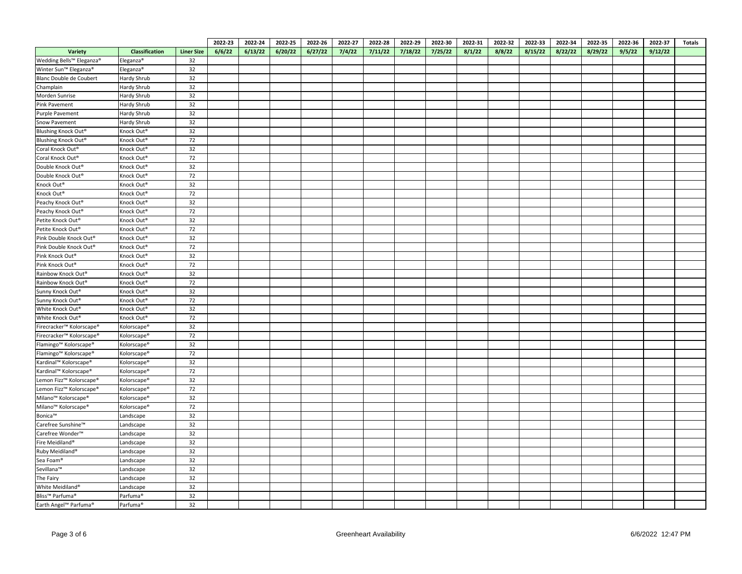|                                             |                        |                   | 2022-23 | 2022-24 | 2022-25 | 2022-26 | 2022-27 | 2022-28 | 2022-29 | 2022-30 | 2022-31 | 2022-32 | 2022-33 | 2022-34 | 2022-35 | 2022-36 | 2022-37 | <b>Totals</b> |
|---------------------------------------------|------------------------|-------------------|---------|---------|---------|---------|---------|---------|---------|---------|---------|---------|---------|---------|---------|---------|---------|---------------|
| <b>Variety</b>                              | Classification         | <b>Liner Size</b> | 6/6/22  | 6/13/22 | 6/20/22 | 6/27/22 | 7/4/22  | 7/11/22 | 7/18/22 | 7/25/22 | 8/1/22  | 8/8/22  | 8/15/22 | 8/22/22 | 8/29/22 | 9/5/22  | 9/12/22 |               |
| Wedding Bells™ Eleganza®                    | Eleganza <sup>®</sup>  | 32                |         |         |         |         |         |         |         |         |         |         |         |         |         |         |         |               |
| Winter Sun™ Eleganza <sup>®</sup>           | Eleganza®              | 32                |         |         |         |         |         |         |         |         |         |         |         |         |         |         |         |               |
| Blanc Double de Coubert                     | Hardy Shrub            | 32                |         |         |         |         |         |         |         |         |         |         |         |         |         |         |         |               |
| Champlain                                   | Hardy Shrub            | 32                |         |         |         |         |         |         |         |         |         |         |         |         |         |         |         |               |
| Morden Sunrise                              | Hardy Shrub            | 32                |         |         |         |         |         |         |         |         |         |         |         |         |         |         |         |               |
| Pink Pavement                               | Hardy Shrub            | 32                |         |         |         |         |         |         |         |         |         |         |         |         |         |         |         |               |
| Purple Pavement                             | Hardy Shrub            | 32                |         |         |         |         |         |         |         |         |         |         |         |         |         |         |         |               |
| Snow Pavement                               | Hardy Shrub            | 32                |         |         |         |         |         |         |         |         |         |         |         |         |         |         |         |               |
| Blushing Knock Out®                         | Knock Out <sup>®</sup> | 32                |         |         |         |         |         |         |         |         |         |         |         |         |         |         |         |               |
| Blushing Knock Out®                         | Knock Out®             | 72                |         |         |         |         |         |         |         |         |         |         |         |         |         |         |         |               |
| Coral Knock Out®                            | Knock Out®             | 32                |         |         |         |         |         |         |         |         |         |         |         |         |         |         |         |               |
| Coral Knock Out®                            | Knock Out®             | 72                |         |         |         |         |         |         |         |         |         |         |         |         |         |         |         |               |
| Double Knock Out®                           | Knock Out®             | 32                |         |         |         |         |         |         |         |         |         |         |         |         |         |         |         |               |
| Double Knock Out®                           | Knock Out®             | 72                |         |         |         |         |         |         |         |         |         |         |         |         |         |         |         |               |
| Knock Out®                                  | Knock Out®             | 32                |         |         |         |         |         |         |         |         |         |         |         |         |         |         |         |               |
| Knock Out®                                  | Knock Out®             | $72\,$            |         |         |         |         |         |         |         |         |         |         |         |         |         |         |         |               |
| Peachy Knock Out®                           | Knock Out®             | 32                |         |         |         |         |         |         |         |         |         |         |         |         |         |         |         |               |
| Peachy Knock Out®                           | Knock Out®             | 72                |         |         |         |         |         |         |         |         |         |         |         |         |         |         |         |               |
| Petite Knock Out®                           | Knock Out®             | 32                |         |         |         |         |         |         |         |         |         |         |         |         |         |         |         |               |
| Petite Knock Out <sup>®</sup>               | Knock Out <sup>®</sup> | 72                |         |         |         |         |         |         |         |         |         |         |         |         |         |         |         |               |
| Pink Double Knock Out®                      | Knock Out®             | 32                |         |         |         |         |         |         |         |         |         |         |         |         |         |         |         |               |
| Pink Double Knock Out®                      | Knock Out®             | 72                |         |         |         |         |         |         |         |         |         |         |         |         |         |         |         |               |
| Pink Knock Out®                             | Knock Out®             | 32                |         |         |         |         |         |         |         |         |         |         |         |         |         |         |         |               |
| Pink Knock Out®                             | Knock Out®             | 72                |         |         |         |         |         |         |         |         |         |         |         |         |         |         |         |               |
| Rainbow Knock Out®                          | Knock Out®             | 32                |         |         |         |         |         |         |         |         |         |         |         |         |         |         |         |               |
| Rainbow Knock Out®                          | Knock Out <sup>®</sup> | 72                |         |         |         |         |         |         |         |         |         |         |         |         |         |         |         |               |
| Sunny Knock Out®                            | Knock Out®             | 32                |         |         |         |         |         |         |         |         |         |         |         |         |         |         |         |               |
| Sunny Knock Out®                            | Knock Out®             | 72                |         |         |         |         |         |         |         |         |         |         |         |         |         |         |         |               |
| White Knock Out®                            | Knock Out®             | 32                |         |         |         |         |         |         |         |         |         |         |         |         |         |         |         |               |
| White Knock Out®                            | Knock Out®             | 72                |         |         |         |         |         |         |         |         |         |         |         |         |         |         |         |               |
| Firecracker™ Kolorscape®                    | Kolorscape®            | 32                |         |         |         |         |         |         |         |         |         |         |         |         |         |         |         |               |
| Firecracker™ Kolorscape®                    | Kolorscape®            | 72                |         |         |         |         |         |         |         |         |         |         |         |         |         |         |         |               |
| Flamingo <sup>™</sup> Kolorscape®           | Kolorscape®            | 32                |         |         |         |         |         |         |         |         |         |         |         |         |         |         |         |               |
| Flamingo <sup>™</sup> Kolorscape®           | Kolorscape®            | 72                |         |         |         |         |         |         |         |         |         |         |         |         |         |         |         |               |
| Kardinal™ Kolorscape®                       | Kolorscape®            | 32                |         |         |         |         |         |         |         |         |         |         |         |         |         |         |         |               |
| Kardinal™ Kolorscape®                       | Kolorscape®            | 72                |         |         |         |         |         |         |         |         |         |         |         |         |         |         |         |               |
| Lemon Fizz <sup>™</sup> Kolorscape®         | Kolorscape®            | 32                |         |         |         |         |         |         |         |         |         |         |         |         |         |         |         |               |
| Lemon Fizz <sup>™</sup> Kolorscape®         | Kolorscape®            | 72                |         |         |         |         |         |         |         |         |         |         |         |         |         |         |         |               |
| Milano <sup>™</sup> Kolorscape <sup>®</sup> | Kolorscape®            | 32                |         |         |         |         |         |         |         |         |         |         |         |         |         |         |         |               |
| Milano <sup>™</sup> Kolorscape <sup>®</sup> | Kolorscape®            | 72                |         |         |         |         |         |         |         |         |         |         |         |         |         |         |         |               |
| Bonica™                                     | Landscape              | 32                |         |         |         |         |         |         |         |         |         |         |         |         |         |         |         |               |
| Carefree Sunshine™                          | Landscape              | 32                |         |         |         |         |         |         |         |         |         |         |         |         |         |         |         |               |
| Carefree Wonder <sup>™</sup>                | Landscape              | 32                |         |         |         |         |         |         |         |         |         |         |         |         |         |         |         |               |
| Fire Meidiland <sup>®</sup>                 | Landscape              | 32                |         |         |         |         |         |         |         |         |         |         |         |         |         |         |         |               |
| Ruby Meidiland®                             | Landscape              | 32                |         |         |         |         |         |         |         |         |         |         |         |         |         |         |         |               |
| Sea Foam®                                   | Landscape              | 32                |         |         |         |         |         |         |         |         |         |         |         |         |         |         |         |               |
| Sevillana™                                  | Landscape              | 32                |         |         |         |         |         |         |         |         |         |         |         |         |         |         |         |               |
| The Fairy                                   | Landscape              | 32                |         |         |         |         |         |         |         |         |         |         |         |         |         |         |         |               |
| White Meidiland <sup>®</sup>                | Landscape              | 32                |         |         |         |         |         |         |         |         |         |         |         |         |         |         |         |               |
| Bliss™ Parfuma®                             | Parfuma <sup>®</sup>   | 32                |         |         |         |         |         |         |         |         |         |         |         |         |         |         |         |               |
| Earth Angel™ Parfuma®                       | Parfuma <sup>®</sup>   | 32                |         |         |         |         |         |         |         |         |         |         |         |         |         |         |         |               |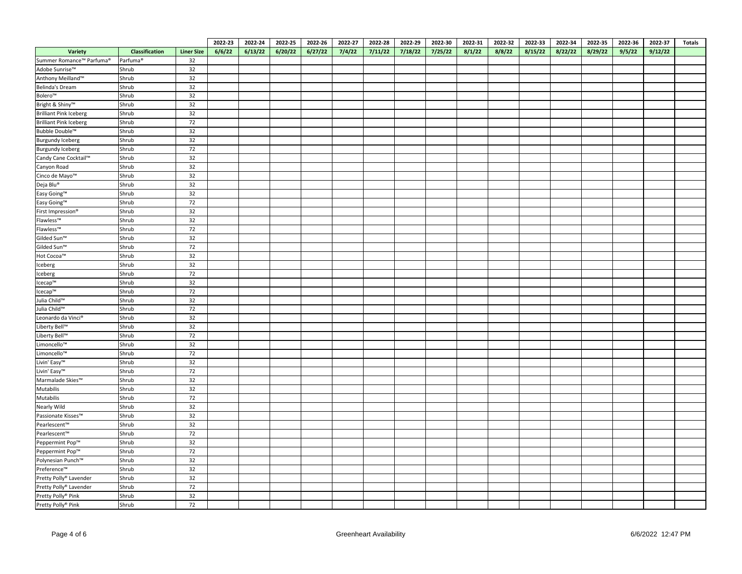|                               |                      |                   | 2022-23 | 2022-24 | 2022-25 | 2022-26 | 2022-27 | 2022-28 | 2022-29 | 2022-30 | 2022-31 | 2022-32 | 2022-33 | 2022-34 | 2022-35 | 2022-36 | 2022-37 | <b>Totals</b> |
|-------------------------------|----------------------|-------------------|---------|---------|---------|---------|---------|---------|---------|---------|---------|---------|---------|---------|---------|---------|---------|---------------|
| Variety                       | Classification       | <b>Liner Size</b> | 6/6/22  | 6/13/22 | 6/20/22 | 6/27/22 | 7/4/22  | 7/11/22 | 7/18/22 | 7/25/22 | 8/1/22  | 8/8/22  | 8/15/22 | 8/22/22 | 8/29/22 | 9/5/22  | 9/12/22 |               |
| Summer Romance™ Parfuma®      | Parfuma <sup>®</sup> | 32                |         |         |         |         |         |         |         |         |         |         |         |         |         |         |         |               |
| Adobe Sunrise™                | Shrub                | 32                |         |         |         |         |         |         |         |         |         |         |         |         |         |         |         |               |
| Anthony Meilland™             | Shrub                | 32                |         |         |         |         |         |         |         |         |         |         |         |         |         |         |         |               |
| Belinda's Dream               | Shrub                | 32                |         |         |         |         |         |         |         |         |         |         |         |         |         |         |         |               |
| Bolero™                       | Shrub                | 32                |         |         |         |         |         |         |         |         |         |         |         |         |         |         |         |               |
| Bright & Shiny™               | Shrub                | 32                |         |         |         |         |         |         |         |         |         |         |         |         |         |         |         |               |
| <b>Brilliant Pink Iceberg</b> | Shrub                | 32                |         |         |         |         |         |         |         |         |         |         |         |         |         |         |         |               |
| <b>Brilliant Pink Iceberg</b> | Shrub                | 72                |         |         |         |         |         |         |         |         |         |         |         |         |         |         |         |               |
| Bubble Double™                | Shrub                | 32                |         |         |         |         |         |         |         |         |         |         |         |         |         |         |         |               |
| <b>Burgundy Iceberg</b>       | Shrub                | 32                |         |         |         |         |         |         |         |         |         |         |         |         |         |         |         |               |
| <b>Burgundy Iceberg</b>       | Shrub                | 72                |         |         |         |         |         |         |         |         |         |         |         |         |         |         |         |               |
| Candy Cane Cocktail™          | Shrub                | 32                |         |         |         |         |         |         |         |         |         |         |         |         |         |         |         |               |
| Canyon Road                   | Shrub                | 32                |         |         |         |         |         |         |         |         |         |         |         |         |         |         |         |               |
| Cinco de Mayo™                | Shrub                | 32                |         |         |         |         |         |         |         |         |         |         |         |         |         |         |         |               |
| Deja Blu®                     | Shrub                | 32                |         |         |         |         |         |         |         |         |         |         |         |         |         |         |         |               |
| Easy Going™                   | Shrub                | 32                |         |         |         |         |         |         |         |         |         |         |         |         |         |         |         |               |
| Easy Going™                   | Shrub                | 72                |         |         |         |         |         |         |         |         |         |         |         |         |         |         |         |               |
| First Impression®             | Shrub                | 32                |         |         |         |         |         |         |         |         |         |         |         |         |         |         |         |               |
| Flawless™                     | Shrub                | 32                |         |         |         |         |         |         |         |         |         |         |         |         |         |         |         |               |
| Flawless™                     | Shrub                | 72                |         |         |         |         |         |         |         |         |         |         |         |         |         |         |         |               |
| Gilded Sun™                   | Shrub                | 32                |         |         |         |         |         |         |         |         |         |         |         |         |         |         |         |               |
| Gilded Sun™                   | Shrub                | 72                |         |         |         |         |         |         |         |         |         |         |         |         |         |         |         |               |
| Hot Cocoa™                    | Shrub                | 32                |         |         |         |         |         |         |         |         |         |         |         |         |         |         |         |               |
| Iceberg                       | Shrub                | 32                |         |         |         |         |         |         |         |         |         |         |         |         |         |         |         |               |
| Iceberg                       | Shrub                | 72                |         |         |         |         |         |         |         |         |         |         |         |         |         |         |         |               |
| Icecap™                       | Shrub                | 32                |         |         |         |         |         |         |         |         |         |         |         |         |         |         |         |               |
| Icecap™                       | Shrub                | 72                |         |         |         |         |         |         |         |         |         |         |         |         |         |         |         |               |
| Julia Child™                  | Shrub                | 32                |         |         |         |         |         |         |         |         |         |         |         |         |         |         |         |               |
| Julia Child™                  | Shrub                | 72                |         |         |         |         |         |         |         |         |         |         |         |         |         |         |         |               |
| Leonardo da Vinci®            | Shrub                | 32                |         |         |         |         |         |         |         |         |         |         |         |         |         |         |         |               |
| Liberty Bell™                 | Shrub                | 32                |         |         |         |         |         |         |         |         |         |         |         |         |         |         |         |               |
| Liberty Bell™                 | Shrub                | 72                |         |         |         |         |         |         |         |         |         |         |         |         |         |         |         |               |
| Limoncello™                   | Shrub                | 32                |         |         |         |         |         |         |         |         |         |         |         |         |         |         |         |               |
| Limoncello™                   | Shrub                | 72                |         |         |         |         |         |         |         |         |         |         |         |         |         |         |         |               |
| Livin' Easy™                  | Shrub                | 32                |         |         |         |         |         |         |         |         |         |         |         |         |         |         |         |               |
| Livin' Easy™                  | Shrub                | 72                |         |         |         |         |         |         |         |         |         |         |         |         |         |         |         |               |
| Marmalade Skies™              | Shrub                | 32                |         |         |         |         |         |         |         |         |         |         |         |         |         |         |         |               |
| Mutabilis                     | Shrub                | 32                |         |         |         |         |         |         |         |         |         |         |         |         |         |         |         |               |
| Mutabilis                     | Shrub                | 72                |         |         |         |         |         |         |         |         |         |         |         |         |         |         |         |               |
| Nearly Wild                   | Shrub                | 32                |         |         |         |         |         |         |         |         |         |         |         |         |         |         |         |               |
| Passionate Kisses™            | Shrub                | 32                |         |         |         |         |         |         |         |         |         |         |         |         |         |         |         |               |
| Pearlescent™                  | Shrub                | 32                |         |         |         |         |         |         |         |         |         |         |         |         |         |         |         |               |
| Pearlescent™                  | Shrub                | 72                |         |         |         |         |         |         |         |         |         |         |         |         |         |         |         |               |
| Peppermint Pop™               | Shrub                | 32                |         |         |         |         |         |         |         |         |         |         |         |         |         |         |         |               |
| Peppermint Pop™               | Shrub                | 72                |         |         |         |         |         |         |         |         |         |         |         |         |         |         |         |               |
| Polynesian Punch™             | Shrub                | 32                |         |         |         |         |         |         |         |         |         |         |         |         |         |         |         |               |
| Preference™                   | Shrub                | 32                |         |         |         |         |         |         |         |         |         |         |         |         |         |         |         |               |
| Pretty Polly® Lavender        | Shrub                | 32                |         |         |         |         |         |         |         |         |         |         |         |         |         |         |         |               |
| Pretty Polly® Lavender        | Shrub                | 72                |         |         |         |         |         |         |         |         |         |         |         |         |         |         |         |               |
| Pretty Polly® Pink            | Shrub                | 32                |         |         |         |         |         |         |         |         |         |         |         |         |         |         |         |               |
| Pretty Polly® Pink            | Shrub                | 72                |         |         |         |         |         |         |         |         |         |         |         |         |         |         |         |               |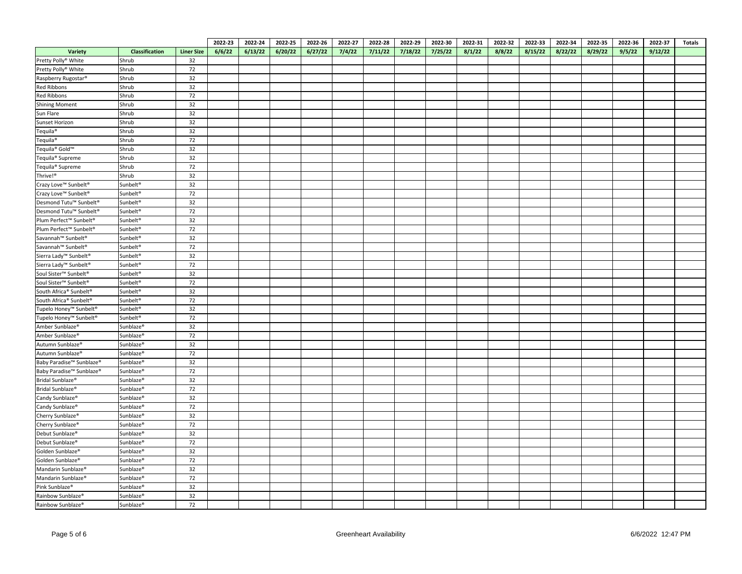|                                                |                       |                   | 2022-23 | 2022-24 | 2022-25 | 2022-26 | 2022-27 | 2022-28 | 2022-29 | 2022-30 | 2022-31 | 2022-32 | 2022-33 | 2022-34 | 2022-35 | 2022-36 | 2022-37 | <b>Totals</b> |
|------------------------------------------------|-----------------------|-------------------|---------|---------|---------|---------|---------|---------|---------|---------|---------|---------|---------|---------|---------|---------|---------|---------------|
| Variety                                        | Classification        | <b>Liner Size</b> | 6/6/22  | 6/13/22 | 6/20/22 | 6/27/22 | 7/4/22  | 7/11/22 | 7/18/22 | 7/25/22 | 8/1/22  | 8/8/22  | 8/15/22 | 8/22/22 | 8/29/22 | 9/5/22  | 9/12/22 |               |
| Pretty Polly® White                            | Shrub                 | 32                |         |         |         |         |         |         |         |         |         |         |         |         |         |         |         |               |
| Pretty Polly® White                            | Shrub                 | 72                |         |         |         |         |         |         |         |         |         |         |         |         |         |         |         |               |
| Raspberry Rugostar®                            | Shrub                 | 32                |         |         |         |         |         |         |         |         |         |         |         |         |         |         |         |               |
| Red Ribbons                                    | Shrub                 | 32                |         |         |         |         |         |         |         |         |         |         |         |         |         |         |         |               |
| Red Ribbons                                    | Shrub                 | 72                |         |         |         |         |         |         |         |         |         |         |         |         |         |         |         |               |
| <b>Shining Moment</b>                          | Shrub                 | 32                |         |         |         |         |         |         |         |         |         |         |         |         |         |         |         |               |
| Sun Flare                                      | Shrub                 | 32                |         |         |         |         |         |         |         |         |         |         |         |         |         |         |         |               |
| Sunset Horizon                                 | Shrub                 | 32                |         |         |         |         |         |         |         |         |         |         |         |         |         |         |         |               |
| Tequila <sup>®</sup>                           | Shrub                 | 32                |         |         |         |         |         |         |         |         |         |         |         |         |         |         |         |               |
| Tequila <sup>®</sup>                           | Shrub                 | 72                |         |         |         |         |         |         |         |         |         |         |         |         |         |         |         |               |
| Tequila® Gold™                                 | Shrub                 | 32                |         |         |         |         |         |         |         |         |         |         |         |         |         |         |         |               |
| Tequila <sup>®</sup> Supreme                   | Shrub                 | 32                |         |         |         |         |         |         |         |         |         |         |         |         |         |         |         |               |
| Tequila <sup>®</sup> Supreme                   | Shrub                 | 72                |         |         |         |         |         |         |         |         |         |         |         |         |         |         |         |               |
| Thrive!®                                       | Shrub                 | 32                |         |         |         |         |         |         |         |         |         |         |         |         |         |         |         |               |
| Crazy Love™ Sunbelt <sup>®</sup>               | Sunbelt <sup>®</sup>  | 32                |         |         |         |         |         |         |         |         |         |         |         |         |         |         |         |               |
| Crazy Love™ Sunbelt <sup>®</sup>               | Sunbelt <sup>®</sup>  | 72                |         |         |         |         |         |         |         |         |         |         |         |         |         |         |         |               |
| Desmond Tutu™ Sunbelt <sup>®</sup>             | Sunbelt <sup>®</sup>  | 32                |         |         |         |         |         |         |         |         |         |         |         |         |         |         |         |               |
| Desmond Tutu <sup>™</sup> Sunbelt <sup>®</sup> | Sunbelt <sup>®</sup>  | 72                |         |         |         |         |         |         |         |         |         |         |         |         |         |         |         |               |
| Plum Perfect™ Sunbelt <sup>®</sup>             | Sunbelt <sup>®</sup>  | 32                |         |         |         |         |         |         |         |         |         |         |         |         |         |         |         |               |
| Plum Perfect™ Sunbelt <sup>®</sup>             | Sunbelt <sup>®</sup>  | 72                |         |         |         |         |         |         |         |         |         |         |         |         |         |         |         |               |
| Savannah™ Sunbelt®                             | Sunbelt <sup>®</sup>  | 32                |         |         |         |         |         |         |         |         |         |         |         |         |         |         |         |               |
| Savannah™ Sunbelt®                             | Sunbelt®              | 72                |         |         |         |         |         |         |         |         |         |         |         |         |         |         |         |               |
| Sierra Lady™ Sunbelt <sup>®</sup>              | Sunbelt <sup>®</sup>  | 32                |         |         |         |         |         |         |         |         |         |         |         |         |         |         |         |               |
| Sierra Lady™ Sunbelt®                          | Sunbelt <sup>®</sup>  | 72                |         |         |         |         |         |         |         |         |         |         |         |         |         |         |         |               |
| Soul Sister™ Sunbelt®                          | Sunbelt <sup>®</sup>  | 32                |         |         |         |         |         |         |         |         |         |         |         |         |         |         |         |               |
| Soul Sister™ Sunbelt®                          | Sunbelt®              | 72                |         |         |         |         |         |         |         |         |         |         |         |         |         |         |         |               |
| South Africa® Sunbelt®                         | Sunbelt <sup>®</sup>  | 32                |         |         |         |         |         |         |         |         |         |         |         |         |         |         |         |               |
| South Africa® Sunbelt®                         | Sunbelt®              | 72                |         |         |         |         |         |         |         |         |         |         |         |         |         |         |         |               |
| Tupelo Honey™ Sunbelt®                         | Sunbelt <sup>®</sup>  | 32                |         |         |         |         |         |         |         |         |         |         |         |         |         |         |         |               |
| Tupelo Honey™ Sunbelt®                         | Sunbelt <sup>®</sup>  | 72                |         |         |         |         |         |         |         |         |         |         |         |         |         |         |         |               |
| Amber Sunblaze <sup>®</sup>                    | Sunblaze®             | 32                |         |         |         |         |         |         |         |         |         |         |         |         |         |         |         |               |
| Amber Sunblaze <sup>®</sup>                    | Sunblaze <sup>®</sup> | 72                |         |         |         |         |         |         |         |         |         |         |         |         |         |         |         |               |
| Autumn Sunblaze®                               | Sunblaze <sup>®</sup> | 32                |         |         |         |         |         |         |         |         |         |         |         |         |         |         |         |               |
| Autumn Sunblaze®                               | Sunblaze®             | 72                |         |         |         |         |         |         |         |         |         |         |         |         |         |         |         |               |
| Baby Paradise™ Sunblaze®                       | Sunblaze®             | 32                |         |         |         |         |         |         |         |         |         |         |         |         |         |         |         |               |
| Baby Paradise™ Sunblaze®                       | Sunblaze <sup>®</sup> | 72                |         |         |         |         |         |         |         |         |         |         |         |         |         |         |         |               |
| Bridal Sunblaze®                               | Sunblaze <sup>®</sup> | 32                |         |         |         |         |         |         |         |         |         |         |         |         |         |         |         |               |
| Bridal Sunblaze®                               | Sunblaze®             | 72                |         |         |         |         |         |         |         |         |         |         |         |         |         |         |         |               |
| Candy Sunblaze®                                | Sunblaze <sup>®</sup> | 32                |         |         |         |         |         |         |         |         |         |         |         |         |         |         |         |               |
| Candy Sunblaze®                                | Sunblaze®             | 72                |         |         |         |         |         |         |         |         |         |         |         |         |         |         |         |               |
| Cherry Sunblaze®                               | Sunblaze®             | 32                |         |         |         |         |         |         |         |         |         |         |         |         |         |         |         |               |
| Cherry Sunblaze®                               | Sunblaze <sup>®</sup> | 72                |         |         |         |         |         |         |         |         |         |         |         |         |         |         |         |               |
| Debut Sunblaze®                                | Sunblaze®             | 32                |         |         |         |         |         |         |         |         |         |         |         |         |         |         |         |               |
| Debut Sunblaze®                                | Sunblaze <sup>®</sup> | 72                |         |         |         |         |         |         |         |         |         |         |         |         |         |         |         |               |
| Golden Sunblaze <sup>®</sup>                   | Sunblaze <sup>®</sup> | 32                |         |         |         |         |         |         |         |         |         |         |         |         |         |         |         |               |
| Golden Sunblaze <sup>®</sup>                   | Sunblaze®             | 72                |         |         |         |         |         |         |         |         |         |         |         |         |         |         |         |               |
| Mandarin Sunblaze®                             | Sunblaze®             | 32                |         |         |         |         |         |         |         |         |         |         |         |         |         |         |         |               |
| Mandarin Sunblaze®                             | Sunblaze <sup>®</sup> | 72                |         |         |         |         |         |         |         |         |         |         |         |         |         |         |         |               |
|                                                |                       | 32                |         |         |         |         |         |         |         |         |         |         |         |         |         |         |         |               |
| Pink Sunblaze <sup>®</sup>                     | Sunblaze®             |                   |         |         |         |         |         |         |         |         |         |         |         |         |         |         |         |               |
| Rainbow Sunblaze®                              | Sunblaze <sup>®</sup> | 32                |         |         |         |         |         |         |         |         |         |         |         |         |         |         |         |               |
| Rainbow Sunblaze®                              | Sunblaze <sup>®</sup> | 72                |         |         |         |         |         |         |         |         |         |         |         |         |         |         |         |               |